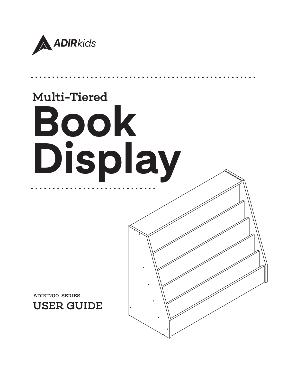

# Multi-Tiered **Book Display**

USER GUIDE ADIKI200-SERIES

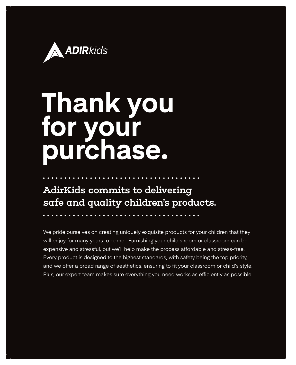

## **Thank you for your purchase.**

AdirKids commits to delivering safe and quality children's products.

We pride ourselves on creating uniquely exquisite products for your children that they will enjoy for many years to come. Furnishing your child's room or classroom can be expensive and stressful, but we'll help make the process affordable and stress-free. Every product is designed to the highest standards, with safety being the top priority, and we offer a broad range of aesthetics, ensuring to fit your classroom or child's style. Plus, our expert team makes sure everything you need works as efficiently as possible.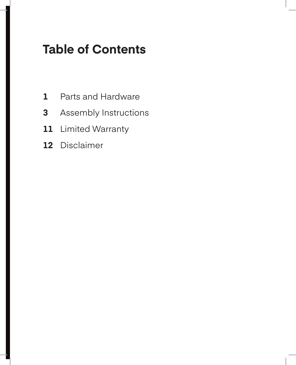## **Table of Contents**

- Parts and Hardware
- Assembly Instructions
- Limited Warranty
- Disclaimer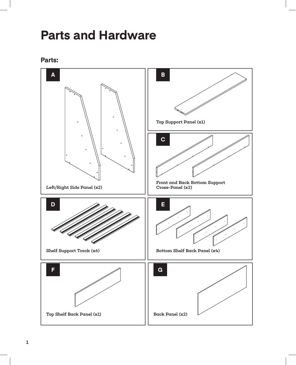## **Parts and Hardware**



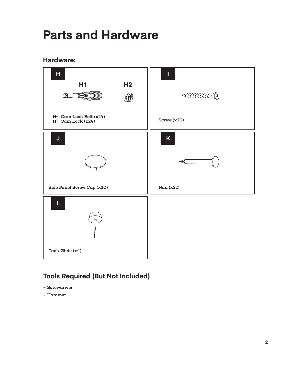## **Parts and Hardware**

#### **Hardware:**



#### **Tools Required (But Not Included)**

- Screwdriver
- Hammer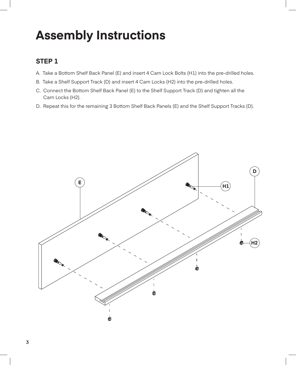- A. Take a Bottom Shelf Back Panel (E) and insert 4 Cam Lock Bolts (H1) into the pre-drilled holes.
- B. Take a Shelf Support Track (D) and insert 4 Cam Locks (H2) into the pre-drilled holes.
- C. Connect the Bottom Shelf Back Panel (E) to the Shelf Support Track (D) and tighten all the Cam Locks (H2).
- D. Repeat this for the remaining 3 Bottom Shelf Back Panels (E) and the Shelf Support Tracks (D).

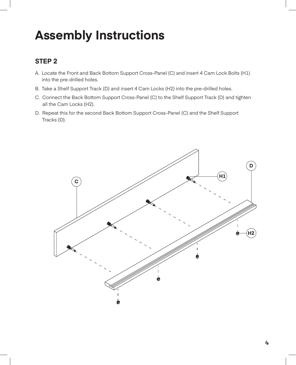- A. Locate the Front and Back Bottom Support Cross-Panel (C) and insert 4 Cam Lock Bolts (H1) into the pre-drilled holes.
- B. Take a Shelf Support Track (D) and insert 4 Cam Locks (H2) into the pre-drilled holes.
- C. Connect the Back Bottom Support Cross-Panel (C) to the Shelf Support Track (D) and tighten all the Cam Locks (H2).
- D. Repeat this for the second Back Bottom Support Cross-Panel (C) and the Shelf Support Tracks (D).

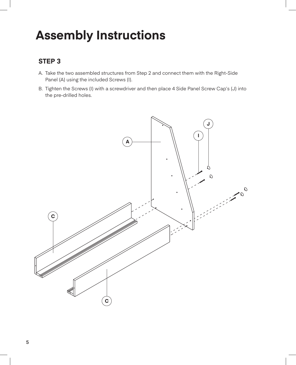- A. Take the two assembled structures from Step 2 and connect them with the Right-Side Panel (A) using the included Screws (I).
- B. Tighten the Screws (I) with a screwdriver and then place 4 Side Panel Screw Cap's (J) into the pre-drilled holes.

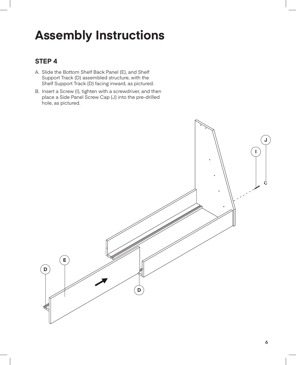- A. Slide the Bottom Shelf Back Panel (E), and Shelf Support Track (D) assembled structure, with the Shelf Support Track (D) facing inward, as pictured.
- B. Insert a Screw (I), tighten with a screwdriver, and then place a Side Panel Screw Cap (J) into the pre-drilled hole, as pictured.

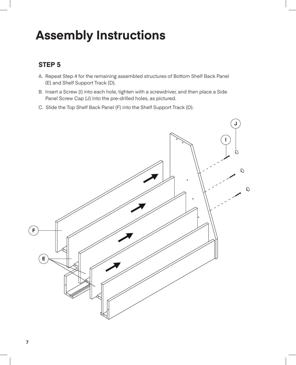- A. Repeat Step 4 for the remaining assembled structures of Bottom Shelf Back Panel (E) and Shelf Support Track (D).
- B. Insert a Screw (I) into each hole, tighten with a screwdriver, and then place a Side Panel Screw Cap (J) into the pre-drilled holes, as pictured.
- C. Slide the Top Shelf Back Panel (F) into the Shelf Support Track (D).

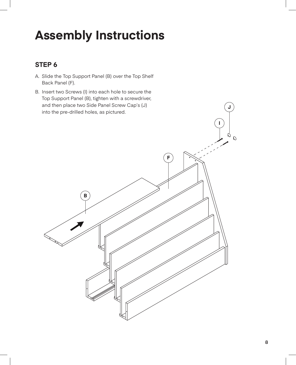#### **STEP 6**

- A. Slide the Top Support Panel (B) over the Top Shelf Back Panel (F).
- B. Insert two Screws (I) into each hole to secure the Top Support Panel (B), tighten with a screwdriver, and then place two Side Panel Screw Cap's (J) into the pre-drilled holes, as pictured.



**J**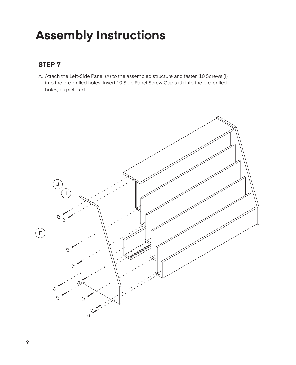#### **STEP 7**

A. Attach the Left-Side Panel (A) to the assembled structure and fasten 10 Screws (I) into the pre-drilled holes. Insert 10 Side Panel Screw Cap's (J) into the pre-drilled holes, as pictured.

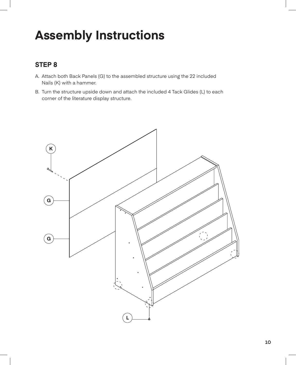- A. Attach both Back Panels (G) to the assembled structure using the 22 included Nails (K) with a hammer.
- B. Turn the structure upside down and attach the included 4 Tack Glides (L) to each corner of the literature display structure.

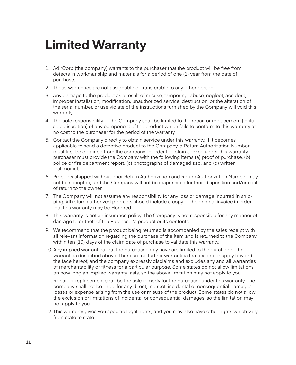## **Limited Warranty**

- 1. AdirCorp (the company) warrants to the purchaser that the product will be free from defects in workmanship and materials for a period of one (1) year from the date of purchase.
- 2. These warranties are not assignable or transferable to any other person.
- 3. Any damage to the product as a result of misuse, tampering, abuse, neglect, accident, improper installation, modification, unauthorized service, destruction, or the alteration of the serial number, or use violate of the instructions furnished by the Company will void this warranty.
- 4. The sole responsibility of the Company shall be limited to the repair or replacement (in its sole discretion) of any component of the product which fails to conform to this warranty at no cost to the purchaser for the period of the warranty.
- 5. Contact the Company directly to obtain service under this warranty. If it becomes applicable to send a defective product to the Company, a Return Authorization Number must first be obtained from the company. In order to obtain service under this warranty, purchaser must provide the Company with the following items (a) proof of purchase, (b) police or fire department report, (c) photographs of damaged sad, and (d) written testimonial.
- 6. Products shipped without prior Return Authorization and Return Authorization Number may not be accepted, and the Company will not be responsible for their disposition and/or cost of return to the owner.
- 7. The Company will not assume any responsibility for any loss or damage incurred in shipping. All return authorized products should include a copy of the original invoice in order that this warranty may be Honored.
- 8. This warranty is not an insurance policy. The Company is not responsible for any manner of damage to or theft of the Purchaser's product or its contents.
- 9. We recommend that the product being returned is accompanied by the sales receipt with all relevant information regarding the purchase of the item and is returned to the Company within ten (10) days of the claim date of purchase to validate this warranty.
- 10. Any implied warranties that the purchaser may have are limited to the duration of the warranties described above. There are no further warranties that extend or apply beyond the face hereof, and the company expressly disclaims and excludes any and all warranties of merchantability or fitness for a particular purpose. Some states do not allow limitations on how long an implied warranty lasts, so the above limitation may not apply to you.
- 11. Repair or replacement shall be the sole remedy for the purchaser under this warranty. The company shall not be liable for any direct, indirect, incidental or consequential damages, losses or expense arising from the use or misuse of the product. Some states do not allow the exclusion or limitations of incidental or consequential damages, so the limitation may not apply to you.
- 12. This warranty gives you specific legal rights, and you may also have other rights which vary from state to state.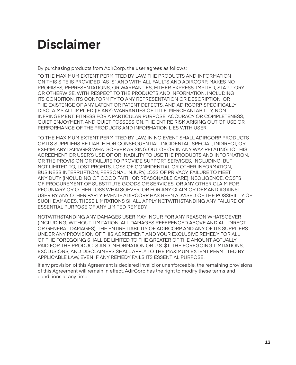## **Disclaimer**

By purchasing products from AdirCorp, the user agrees as follows:

TO THE MAXIMUM EXTENT PERMITTED BY LAW, THE PRODUCTS AND INFORMATION ON THIS SITE IS PROVIDED "AS IS" AND WITH ALL FAULTS AND ADIRCORP. MAKES NO PROMISES, REPRESENTATIONS, OR WARRANTIES, EITHER EXPRESS, IMPLIED, STATUTORY, OR OTHERWISE, WITH RESPECT TO THE PRODUCTS AND INFORMATION, INCLUDING ITS CONDITION, ITS CONFORMITY TO ANY REPRESENTATION OR DESCRIPTION, OR THE EXISTENCE OF ANY LATENT OR PATENT DEFECTS, AND ADIRCORP. SPECIFICALLY DISCLAIMS ALL IMPLIED (IF ANY) WARRANTIES OF TITLE, MERCHANTABILITY, NON INFRINGEMENT, FITNESS FOR A PARTICULAR PURPOSE, ACCURACY OR COMPLETENESS, QUIET ENJOYMENT, AND QUIET POSSESSION. THE ENTIRE RISK ARISING OUT OF USE OR PERFORMANCE OF THE PRODUCTS AND INFORMATION LIES WITH USER.

TO THE MAXIMUM EXTENT PERMITTED BY LAW, IN NO EVENT SHALL ADIRCORP PRODUCTS OR ITS SUPPLIERS BE LIABLE FOR CONSEQUENTIAL, INCIDENTAL, SPECIAL, INDIRECT, OR EXEMPLARY DAMAGES WHATSOEVER ARISING OUT OF OR IN ANY WAY RELATING TO THIS AGREEMENT OR USER'S USE OF OR INABILITY TO USE THE PRODUCTS AND INFORMATION, OR THE PROVISION OR FAILURE TO PROVIDE SUPPORT SERVICES, INCLUDING, BUT NOT LIMITED TO, LOST PROFITS, LOSS OF CONFIDENTIAL OR OTHER INFORMATION, BUSINESS INTERRUPTION, PERSONAL INJURY, LOSS OF PRIVACY, FAILURE TO MEET ANY DUTY (INCLUDING OF GOOD FAITH OR REASONABLE CARE), NEGLIGENCE, COSTS OF PROCUREMENT OF SUBSTITUTE GOODS OR SERVICES, OR ANY OTHER CLAIM FOR PECUNIARY OR OTHER LOSS WHATSOEVER, OR FOR ANY CLAIM OR DEMAND AGAINST USER BY ANY OTHER PARTY, EVEN IF ADIRCORP HAS BEEN ADVISED OF THE POSSIBILITY OF SUCH DAMAGES. THESE LIMITATIONS SHALL APPLY NOTWITHSTANDING ANY FAILURE OF ESSENTIAL PURPOSE OF ANY LIMITED REMEDY.

NOTWITHSTANDING ANY DAMAGES USER MAY INCUR FOR ANY REASON WHATSOEVER (INCLUDING, WITHOUT LIMITATION, ALL DAMAGES REFERENCED ABOVE AND ALL DIRECT OR GENERAL DAMAGES), THE ENTIRE LIABILITY OF ADIRCORP AND ANY OF ITS SUPPLIERS UNDER ANY PROVISION OF THIS AGREEMENT AND YOUR EXCLUSIVE REMEDY FOR ALL OF THE FOREGOING SHALL BE LIMITED TO THE GREATER OF THE AMOUNT ACTUALLY PAID FOR THE PRODUCTS AND INFORMATION OR U.S. \$1. THE FOREGOING LIMITATIONS, EXCLUSIONS, AND DISCLAIMERS SHALL APPLY TO THE MAXIMUM EXTENT PERMITTED BY APPLICABLE LAW, EVEN IF ANY REMEDY FAILS ITS ESSENTIAL PURPOSE.

If any provision of this Agreement is declared invalid or unenforceable, the remaining provisions of this Agreement will remain in effect. AdirCorp has the right to modify these terms and conditions at any time.